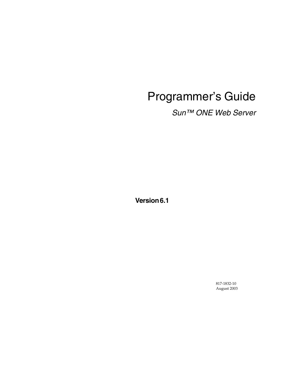# Programmer's Guide

*Sun™ ONE Web Server*

**Version 6.1**

817-1832-10 August 2003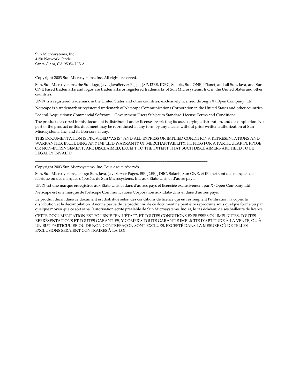Sun Microsystems, Inc. 4150 Network Circle Santa Clara, CA 95054 U.S.A.

Copyright 2003 Sun Microsystems, Inc. All rights reserved.

Sun, Sun Microsystems, the Sun logo, Java, JavaServer Pages, JSP, J2EE, JDBC, Solaris, Sun ONE, iPlanet, and all Sun, Java, and Sun ONE based trademarks and logos are trademarks or registered trademarks of Sun Microsystems, Inc. in the United States and other countries.

UNIX is a registered trademark in the United States and other countries, exclusively licensed through X/Open Company, Ltd.

Netscape is a trademark or registered trademark of Netscape Communications Corporation in the United States and other countries.

Federal Acquisitions: Commercial Software—Government Users Subject to Standard License Terms and Conditions

The product described in this document is distributed under licenses restricting its use, copying, distribution, and decompilation. No part of the product or this document may be reproduced in any form by any means without prior written authorization of Sun Microsystems, Inc. and its licensors, if any.

THIS DOCUMENTATION IS PROVIDED "AS IS" AND ALL EXPRESS OR IMPLIED CONDITIONS, REPRESENTATIONS AND WARRANTIES, INCLUDING ANY IMPLIED WARRANTY OF MERCHANTABILITY, FITNESS FOR A PARTICULAR PURPOSE OR NON-INFRINGEMENT, ARE DISCLAIMED, EXCEPT TO THE EXTENT THAT SUCH DISCLAIMERS ARE HELD TO BE LEGALLY INVALID.

Copyright 2003 Sun Microsystems, Inc. Tous droits réservés.

Sun, Sun Microsystems, le logo Sun, Java, JavaServer Pages, JSP, J2EE, JDBC, Solaris, Sun ONE, et iPlanet sont des marques de fabrique ou des marques déposées de Sun Microsystems, Inc. aux Etats-Unis et d'autre pays.

UNIX est une marque enregistree aux Etats-Unis et dans d'autres pays et licenciée exclusivement par X/Open Company Ltd.

Netscape est une marque de Netscape Communications Corporation aux Etats-Unis et dans d'autres pays.

\_\_\_\_\_\_\_\_\_\_\_\_\_\_\_\_\_\_\_\_\_\_\_\_\_\_\_\_\_\_\_\_\_\_\_\_\_\_\_\_\_\_\_\_\_\_\_\_\_\_\_\_\_\_\_\_\_\_\_\_\_\_\_\_\_\_\_\_\_\_\_\_\_\_\_\_\_\_\_\_\_\_\_\_\_\_\_\_

Le produit décrit dans ce document est distribué selon des conditions de licence qui en restreignent l'utilisation, la copie, la distribution et la décompilation. Aucune partie de ce produit ni de ce document ne peut être reproduite sous quelque forme ou par quelque moyen que ce soit sans l'autorisation écrite préalable de Sun Microsystems, Inc. et, le cas échéant, de ses bailleurs de licence.

CETTE DOCUMENTATION EST FOURNIE "EN L'ÉTAT", ET TOUTES CONDITIONS EXPRESSES OU IMPLICITES, TOUTES REPRÉSENTATIONS ET TOUTES GARANTIES, Y COMPRIS TOUTE GARANTIE IMPLICITE D'APTITUDE À LA VENTE, OU À UN BUT PARTICULIER OU DE NON CONTREFAÇON SONT EXCLUES, EXCEPTÉ DANS LA MESURE OÙ DE TELLES EXCLUSIONS SERAIENT CONTRAIRES À LA LOI.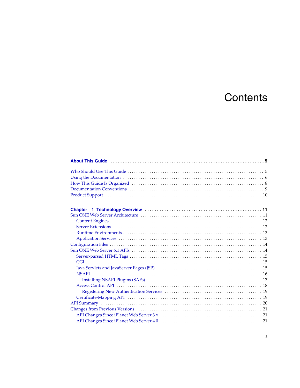# Contents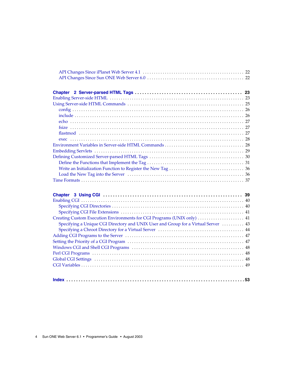| Specifying a Unique CGI Directory and UNIX User and Group for a Virtual Server  43 |
|------------------------------------------------------------------------------------|
|                                                                                    |
|                                                                                    |
|                                                                                    |
|                                                                                    |
|                                                                                    |
|                                                                                    |
|                                                                                    |
|                                                                                    |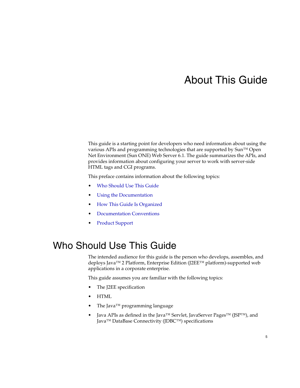# <span id="page-4-2"></span>About This Guide

<span id="page-4-0"></span>This guide is a starting point for developers who need information about using the various APIs and programming technologies that are supported by Sun™ Open Net Environment (Sun ONE) Web Server 6.1. The guide summarizes the APIs, and provides information about configuring your server to work with server-side HTML tags and CGI programs.

This preface contains information about the following topics:

- [Who Should Use This Guide](#page-4-1)
- [Using the Documentation](#page-5-0)
- [How This Guide Is Organized](#page-7-0)
- [Documentation Conventions](#page-8-0)
- [Product Support](#page-9-0)

## <span id="page-4-3"></span><span id="page-4-1"></span>Who Should Use This Guide

The intended audience for this guide is the person who develops, assembles, and deploys Java™ 2 Platform, Enterprise Edition (J2EE™ platform)-supported web applications in a corporate enterprise.

This guide assumes you are familiar with the following topics:

- The J2EE specification
- HTML
- The Java™ programming language
- Java APIs as defined in the Java™ Servlet, JavaServer Pages™ (JSP™), and Java™ DataBase Connectivity (JDBC™) specifications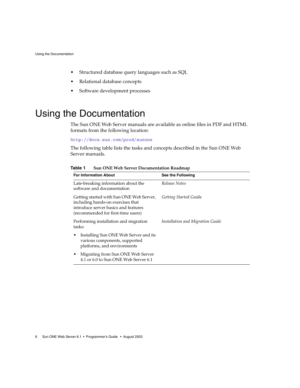- Structured database query languages such as SQL
- Relational database concepts
- Software development processes

## <span id="page-5-3"></span><span id="page-5-1"></span><span id="page-5-0"></span>Using the Documentation

The Sun ONE Web Server manuals are available as online files in PDF and HTML formats from the following location:

<http://docs.sun.com/prod/sunone>

The following table lists the tasks and concepts described in the Sun ONE Web Server manuals.

<span id="page-5-2"></span>

| <b>For Information About</b>                                                                                                                                | See the Following                |
|-------------------------------------------------------------------------------------------------------------------------------------------------------------|----------------------------------|
| Late-breaking information about the<br>software and documentation                                                                                           | Release Notes                    |
| Getting started with Sun ONE Web Server,<br>including hands-on exercises that<br>introduce server basics and features<br>(recommended for first-time users) | <b>Getting Started Guide</b>     |
| Performing installation and migration<br>tasks:                                                                                                             | Installation and Migration Guide |
| Installing Sun ONE Web Server and its<br>various components, supported<br>platforms, and environments                                                       |                                  |
| Migrating from Sun ONE Web Server<br>4.1 or 6.0 to Sun ONE Web Server 6.1                                                                                   |                                  |

**Table 1 Sun ONE Web Server Documentation Roadmap**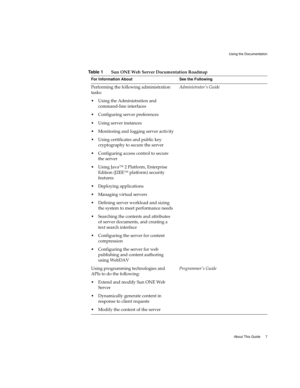<span id="page-6-0"></span>

| <b>For Information About</b>                                                                          | See the Following     |
|-------------------------------------------------------------------------------------------------------|-----------------------|
| Performing the following administration<br>tasks:                                                     | Administrator's Guide |
| Using the Administration and<br>command-line interfaces                                               |                       |
| Configuring server preferences                                                                        |                       |
| Using server instances                                                                                |                       |
| Monitoring and logging server activity                                                                |                       |
| Using certificates and public key<br>cryptography to secure the server                                |                       |
| Configuring access control to secure<br>the server                                                    |                       |
| Using Java™ 2 Platform, Enterprise<br>Edition (J2EE™ platform) security<br>features                   |                       |
| Deploying applications                                                                                |                       |
| Managing virtual servers                                                                              |                       |
| Defining server workload and sizing<br>the system to meet performance needs                           |                       |
| Searching the contents and attributes<br>of server documents, and creating a<br>text search interface |                       |
| Configuring the server for content<br>compression                                                     |                       |
| Configuring the server for web<br>publishing and content authoring<br>using WebDAV                    |                       |
| Using programming technologies and<br>APIs to do the following:                                       | Programmer's Guide    |
| Extend and modify Sun ONE Web<br>Server                                                               |                       |
| Dynamically generate content in<br>٠<br>response to client requests                                   |                       |
| Modify the content of the server                                                                      |                       |

| <b>Sun ONE Web Server Documentation Roadmap</b> |
|-------------------------------------------------|
|                                                 |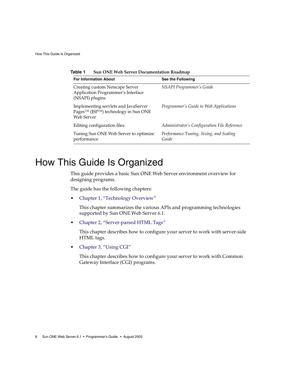<span id="page-7-4"></span><span id="page-7-3"></span><span id="page-7-2"></span>

| <b>For Information About</b>                                                              | See the Following                                |
|-------------------------------------------------------------------------------------------|--------------------------------------------------|
| Creating custom Netscape Server<br>Application Programmer's Interface<br>(NSAPI) plugins  | <b>NSAPI</b> Programmer's Guide                  |
| Implementing servlets and JavaServer<br>Pages™ (JSP™) technology in Sun ONE<br>Web Server | <i>Programmer's Guide to Web Applications</i>    |
| Editing configuration files                                                               | Administrator's Configuration File Reference     |
| Tuning Sun ONE Web Server to optimize<br>performance                                      | Performance Tuning, Sizing, and Scaling<br>Guide |

**Table 1 Sun ONE Web Server Documentation Roadmap**

## <span id="page-7-1"></span><span id="page-7-0"></span>How This Guide Is Organized

This guide provides a basic Sun ONE Web Server environment overview for designing programs.

The guide has the following chapters:

• [Chapter 1, "Technology Overview"](#page-10-3)

This chapter summarizes the various APIs and programming technologies supported by Sun ONE Web Server 6.1.

• [Chapter 2, "Server-parsed HTML Tags"](#page-22-3)

This chapter describes how to configure your server to work with server-side HTML tags.

• [Chapter 3, "Using CGI"](#page-38-2)

This chapter describes how to configure your server to work with Common Gateway Interface (CGI) programs.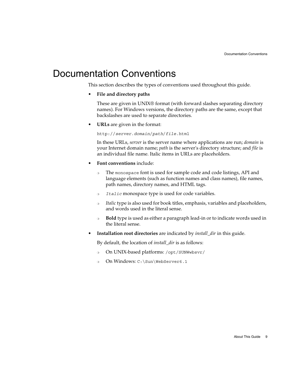## <span id="page-8-1"></span><span id="page-8-0"></span>Documentation Conventions

This section describes the types of conventions used throughout this guide.

**• File and directory paths**

These are given in UNIX® format (with forward slashes separating directory names). For Windows versions, the directory paths are the same, except that backslashes are used to separate directories.

• **URLs** are given in the format:

http://*server*.*domain*/*path*/*file*.html

In these URLs, *server* is the server name where applications are run; *domain* is your Internet domain name; *path* is the server's directory structure; and *file* is an individual file name. Italic items in URLs are placeholders.

- **Font conventions** include:
	- ❍ The monospace font is used for sample code and code listings, API and language elements (such as function names and class names), file names, path names, directory names, and HTML tags.
	- ❍ *Italic* monospace type is used for code variables.
	- ❍ *Italic* type is also used for book titles, emphasis, variables and placeholders, and words used in the literal sense.
	- ❍ **Bold** type is used as either a paragraph lead-in or to indicate words used in the literal sense.
- **Installation root directories** are indicated by *install\_dir* in this guide.

By default, the location of *install\_dir* is as follows:

- ❍ On UNIX-based platforms: /opt/SUNWwbsvr/
- ❍ On Windows: C:\Sun\WebServer6.1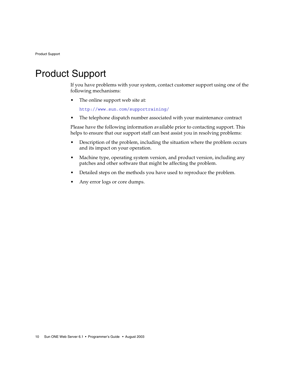# <span id="page-9-2"></span><span id="page-9-1"></span><span id="page-9-0"></span>Product Support

If you have problems with your system, contact customer support using one of the following mechanisms:

• The online support web site at:

<http://www.sun.com/supportraining/>

• The telephone dispatch number associated with your maintenance contract

Please have the following information available prior to contacting support. This helps to ensure that our support staff can best assist you in resolving problems:

- Description of the problem, including the situation where the problem occurs and its impact on your operation.
- Machine type, operating system version, and product version, including any patches and other software that might be affecting the problem.
- Detailed steps on the methods you have used to reproduce the problem.
- Any error logs or core dumps.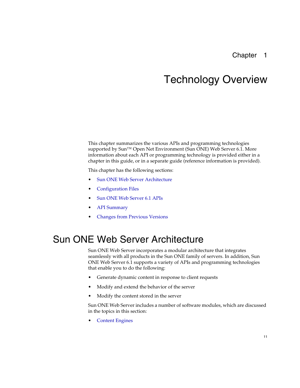# <span id="page-10-6"></span><span id="page-10-3"></span>Technology Overview

<span id="page-10-1"></span><span id="page-10-0"></span>This chapter summarizes the various APIs and programming technologies supported by Sun™ Open Net Environment (Sun ONE) Web Server 6.1. More information about each API or programming technology is provided either in a chapter in this guide, or in a separate guide (reference information is provided).

This chapter has the following sections:

- [Sun ONE Web Server Architecture](#page-10-2)
- [Configuration Files](#page-13-0)
- [Sun ONE Web Server 6.1 APIs](#page-13-1)
- [API Summary](#page-19-0)
- [Changes from Previous Versions](#page-20-0)

## <span id="page-10-2"></span>Sun ONE Web Server Architecture

<span id="page-10-4"></span>Sun ONE Web Server incorporates a modular architecture that integrates seamlessly with all products in the Sun ONE family of servers. In addition, Sun ONE Web Server 6.1 supports a variety of APIs and programming technologies that enable you to do the following:

- Generate dynamic content in response to client requests
- Modify and extend the behavior of the server
- <span id="page-10-5"></span>• Modify the content stored in the server

Sun ONE Web Server includes a number of software modules, which are discussed in the topics in this section:

• [Content Engines](#page-11-0)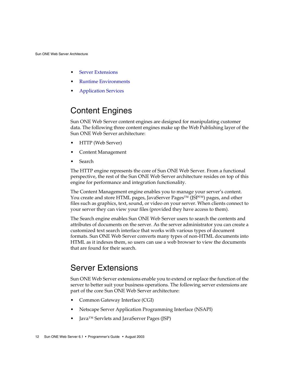- [Server Extensions](#page-11-1)
- [Runtime Environments](#page-12-0)
- [Application Services](#page-12-1)

## <span id="page-11-9"></span><span id="page-11-0"></span>Content Engines

<span id="page-11-8"></span>Sun ONE Web Server content engines are designed for manipulating customer data. The following three content engines make up the Web Publishing layer of the Sun ONE Web Server architecture:

- HTTP (Web Server)
- Content Management
- Search

<span id="page-11-4"></span>The HTTP engine represents the core of Sun ONE Web Server. From a functional perspective, the rest of the Sun ONE Web Server architecture resides on top of this engine for performance and integration functionality.

<span id="page-11-2"></span>The Content Management engine enables you to manage your server's content. You create and store HTML pages, JavaServer Pages™ (JSP™) pages, and other files such as graphics, text, sound, or video on your server. When clients connect to your server they can view your files (provided they have access to them).

<span id="page-11-6"></span>The Search engine enables Sun ONE Web Server users to search the contents and attributes of documents on the server. As the server administrator you can create a customized text search interface that works with various types of document formats. Sun ONE Web Server converts many types of non-HTML documents into HTML as it indexes them, so users can use a web browser to view the documents that are found for their search.

#### <span id="page-11-7"></span><span id="page-11-3"></span><span id="page-11-1"></span>Server Extensions

<span id="page-11-5"></span>Sun ONE Web Server extensions enable you to extend or replace the function of the server to better suit your business operations. The following server extensions are part of the core Sun ONE Web Server architecture:

- Common Gateway Interface (CGI)
- Netscape Server Application Programming Interface (NSAPI)
- Java™ Servlets and JavaServer Pages (JSP)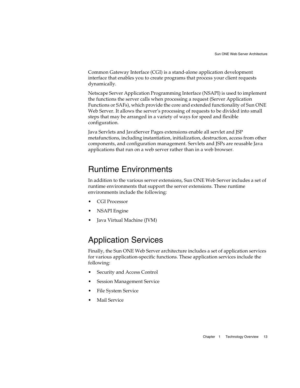<span id="page-12-3"></span>Common Gateway Interface (CGI) is a stand-alone application development interface that enables you to create programs that process your client requests dynamically.

<span id="page-12-9"></span>Netscape Server Application Programming Interface (NSAPI) is used to implement the functions the server calls when processing a request (Server Application Functions or SAFs), which provide the core and extended functionality of Sun ONE Web Server. It allows the server's processing of requests to be divided into small steps that may be arranged in a variety of ways for speed and flexible configuration.

<span id="page-12-6"></span>Java Servlets and JavaServer Pages extensions enable all servlet and JSP metafunctions, including instantiation, initialization, destruction, access from other components, and configuration management. Servlets and JSPs are reusable Java applications that run on a web server rather than in a web browser.

#### <span id="page-12-11"></span><span id="page-12-0"></span>Runtime Environments

In addition to the various server extensions, Sun ONE Web Server includes a set of runtime environments that support the server extensions. These runtime environments include the following:

- <span id="page-12-4"></span>• CGI Processor
- <span id="page-12-10"></span>• NSAPI Engine
- <span id="page-12-7"></span>• Java Virtual Machine (JVM)

#### <span id="page-12-2"></span><span id="page-12-1"></span>Application Services

Finally, the Sun ONE Web Server architecture includes a set of application services for various application-specific functions. These application services include the following:

- <span id="page-12-12"></span>Security and Access Control
- <span id="page-12-13"></span>• Session Management Service
- <span id="page-12-5"></span>• File System Service
- <span id="page-12-8"></span>• Mail Service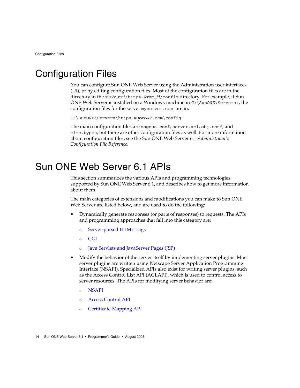# <span id="page-13-15"></span><span id="page-13-6"></span><span id="page-13-0"></span>Configuration Files

<span id="page-13-8"></span><span id="page-13-5"></span><span id="page-13-4"></span><span id="page-13-3"></span>You can configure Sun ONE Web Server using the Administration user interfaces (UI), or by editing configuration files. Most of the configuration files are in the directory in the *server\_root*/https-*server\_id*/config directory. For example, if Sun ONE Web Server is installed on a Windows machine in  $\text{C:}\$  SunONE\Servers\, the configuration files for the server myserver.com are in:

C:\SunONE\Servers\https-*myserver*.com\config

<span id="page-13-16"></span><span id="page-13-14"></span><span id="page-13-13"></span><span id="page-13-12"></span><span id="page-13-11"></span><span id="page-13-7"></span>The main configuration files are magnus.conf, server.xml, obj.conf, and mime.types, but there are other configuration files as well. For more information about configuration files, see the Sun ONE Web Server 6.1 *Administrator's Configuration File Reference*.

# <span id="page-13-1"></span>Sun ONE Web Server 6.1 APIs

<span id="page-13-2"></span>This section summarizes the various APIs and programming technologies supported by Sun ONE Web Server 6.1, and describes how to get more information about them.

The main categories of extensions and modifications you can make to Sun ONE Web Server are listed below, and are used to do the following:

- <span id="page-13-9"></span>• Dynamically generate responses (or parts of responses) to requests. The APIs and programming approaches that fall into this category are:
	- o [Server-parsed HTML Tags](#page-14-0)
	- ❍ [CGI](#page-14-1)
	- ❍ [Java Servlets and JavaServer Pages \(JSP\)](#page-14-2)
- <span id="page-13-10"></span>• Modify the behavior of the server itself by implementing server plugins. Most server plugins are written using Netscape Server Application Programming Interface (NSAPI). Specialized APIs also exist for writing server plugins, such as the Access Control List API (ACLAPI), which is used to control access to server resources. The APIs for modifying server behavior are:
	- ❍ [NSAPI](#page-15-0)
	- ❍ [Access Control API](#page-17-0)
	- ❍ [Certificate-Mapping API](#page-18-1)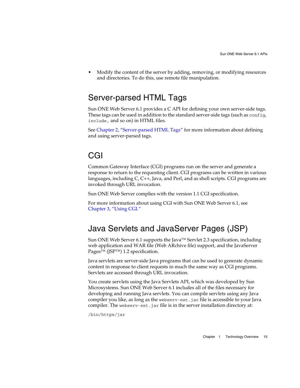<span id="page-14-7"></span><span id="page-14-4"></span>• Modify the content of the server by adding, removing, or modifying resources and directories. To do this, use remote file manipulation.

#### <span id="page-14-0"></span>Server-parsed HTML Tags

Sun ONE Web Server 6.1 provides a C API for defining your own server-side tags. These tags can be used in addition to the standard server-side tags (such as config, include, and so on) in HTML files.

See [Chapter 2, "Server-parsed HTML Tags"](#page-22-3) for more information about defining and using server-parsed tags.

### <span id="page-14-3"></span><span id="page-14-1"></span>CGI

Common Gateway Interface (CGI) programs run on the server and generate a response to return to the requesting client. CGI programs can be written in various languages, including C, C++, Java, and Perl, and as shell scripts. CGI programs are invoked through URL invocation.

Sun ONE Web Server complies with the version 1.1 CGI specification.

For more information about using CGI with Sun ONE Web Server 6.1, see [Chapter 3, "Using CGI."](#page-38-2)

### <span id="page-14-13"></span><span id="page-14-11"></span><span id="page-14-10"></span><span id="page-14-5"></span><span id="page-14-2"></span>Java Servlets and JavaServer Pages (JSP)

<span id="page-14-15"></span><span id="page-14-14"></span><span id="page-14-12"></span><span id="page-14-9"></span>Sun ONE Web Server 6.1 supports the Java<sup> $M$ </sup> Servlet 2.3 specification, including web application and WAR file (Web ARchive file) support, and the JavaServer Pages™ (JSP™) 1.2 specification.

Java servlets are server-side Java programs that can be used to generate dynamic content in response to client requests in much the same way as CGI programs. Servlets are accessed through URL invocation.

<span id="page-14-8"></span><span id="page-14-6"></span>You create servlets using the Java Servlets API, which was developed by Sun Microsystems. Sun ONE Web Server 6.1 includes all of the files necessary for developing and running Java servlets. You can compile servlets using any Java compiler you like, as long as the webserv-ext.jar file is accessible to your Java compiler. The webserv-ext.jar file is in the server installation directory at:

<span id="page-14-16"></span>/bin/https/jar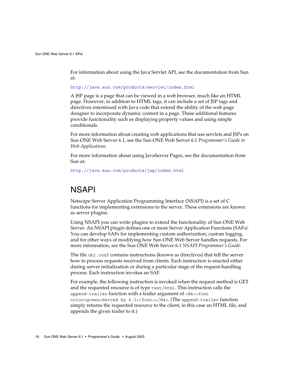<span id="page-15-12"></span><span id="page-15-6"></span>For information about using the Java Servlet API, see the documentation from Sun at:

<http://java.sun.com/products/servlet/index.html>

A JSP page is a page that can be viewed in a web browser, much like an HTML page. However, in addition to HTML tags, it can include a set of JSP tags and directives intermixed with Java code that extend the ability of the web page designer to incorporate dynamic content in a page. These additional features provide functionality such as displaying property values and using simple conditionals.

<span id="page-15-3"></span>For more information about creating web applications that use servlets and JSPs on Sun ONE Web Server 6.1, see the Sun ONE Web Server 6.1 *Programmer's Guide to Web Applications*.

<span id="page-15-7"></span>For more information about using JavaServer Pages, see the documentation from Sun at:

<http://java.sun.com/products/jsp/index.html>

## <span id="page-15-1"></span><span id="page-15-0"></span>NSAPI

<span id="page-15-10"></span>Netscape Server Application Programming Interface (NSAPI) is a set of C functions for implementing extensions to the server. These extensions are known as server plugins.

<span id="page-15-11"></span><span id="page-15-8"></span><span id="page-15-5"></span><span id="page-15-2"></span>Using NSAPI you can write plugins to extend the functionality of Sun ONE Web Server. An NSAPI plugin defines one or more Server Application Functions (SAFs). You can develop SAFs for implementing custom authorization, custom logging, and for other ways of modifying how Sun ONE Web Server handles requests. For more information, see the Sun ONE Web Server 6.1 *NSAPI Programmer's Guide*.

<span id="page-15-9"></span><span id="page-15-4"></span>The file obj.conf contains instructions (known as directives) that tell the server how to process requests received from clients. Each instruction is enacted either during server initialization or during a particular stage of the request-handling process. Each instruction invokes an SAF.

For example, the following instruction is invoked when the request method is GET and the requested resource is of type text/html. This instruction calls the append-trailer function with a trailer argument of <H4><font color=green>Served by 6.1</font></H4>. (The append-trailer function simply returns the requested resource to the client, in this case an HTML file, and appends the given trailer to it.)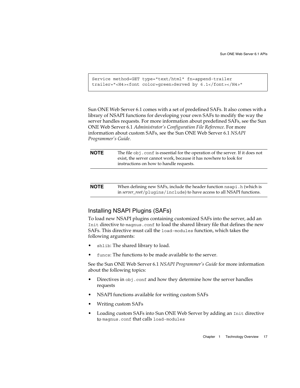```
Service method=GET type="text/html" fn=append-trailer 
trailer="<H4><font color=green>Served by 6.1</font></H4>"
```
<span id="page-16-6"></span>Sun ONE Web Server 6.1 comes with a set of predefined SAFs. It also comes with a library of NSAPI functions for developing your own SAFs to modify the way the server handles requests. For more information about predefined SAFs, see the Sun ONE Web Server 6.1 *Administrator's Configuration File Reference*. For more information about custom SAFs, see the Sun ONE Web Server 6.1 *NSAPI Programmer's Guide*.

| <b>NOTE</b> | The file $obj$ . conf is essential for the operation of the server. If it does not<br>exist, the server cannot work, because it has nowhere to look for<br>instructions on how to handle requests. |
|-------------|----------------------------------------------------------------------------------------------------------------------------------------------------------------------------------------------------|
|             |                                                                                                                                                                                                    |

<span id="page-16-1"></span>

| <b>NOTE</b> | When defining new SAFs, include the header function nsapi. h (which is        |
|-------------|-------------------------------------------------------------------------------|
|             | in <i>server_root/plugins/include)</i> to have access to all NSAPI functions. |

#### <span id="page-16-2"></span><span id="page-16-0"></span>Installing NSAPI Plugins (SAFs)

<span id="page-16-5"></span><span id="page-16-4"></span>To load new NSAPI plugins containing customized SAFs into the server, add an Init directive to magnus.conf to load the shared library file that defines the new SAFs. This directive must call the load-modules function, which takes the following arguments:

- shlib: The shared library to load.
- funcs: The functions to be made available to the server.

See the Sun ONE Web Server 6.1 *NSAPI Programmer's Guide* for more information about the following topics:

- Directives in  $obj$ .conf and how they determine how the server handles requests
- NSAPI functions available for writing custom SAFs
- Writing custom SAFs
- <span id="page-16-3"></span>Loading custom SAFs into Sun ONE Web Server by adding an Init directive to magnus.conf that calls load-modules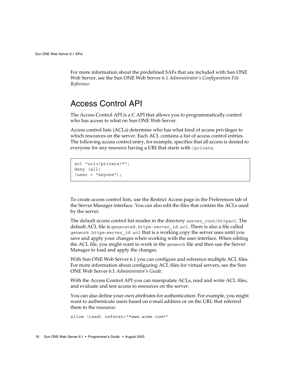For more information about the predefined SAFs that are included with Sun ONE Web Server, see the Sun ONE Web Server 6.1 *Administrator's Configuration File Reference*.

#### <span id="page-17-1"></span><span id="page-17-0"></span>Access Control API

<span id="page-17-2"></span>The Access Control API is a C API that allows you to programmatically control who has access to what on Sun ONE Web Server.

<span id="page-17-6"></span>Access control lists (ACLs) determine who has what kind of access privileges to which resources on the server. Each ACL contains a list of access control entries. The following access control entry, for example, specifies that all access is denied to everyone for any resource having a URI that starts with /private.

acl "uri=/private/\*"; deny (all)  $(user = "anyone");$ 

<span id="page-17-7"></span><span id="page-17-3"></span>To create access control lists, use the Restrict Access page in the Preferences tab of the Server Manager interface. You can also edit the files that contain the ACLs used by the server.

<span id="page-17-5"></span>The default access control list resides in the directory *server\_root*/httpacl. The default ACL file is generated.https-*server\_id*.acl. There is also a file called genwork.https*-server\_id*.acl that is a working copy the server uses until you save and apply your changes when working with the user interface. When editing the ACL file, you might want to work in the genwork file and then use the Server Manager to load and apply the changes.

<span id="page-17-8"></span><span id="page-17-4"></span>With Sun ONE Web Server 6.1 you can configure and reference multiple ACL files. For more information about configuring ACL files for virtual servers, see the Sun ONE Web Server 6.1 *Administrator's Guide*.

With the Access Control API you can manipulate ACLs, read and write ACL files, and evaluate and test access to resources on the server.

You can also define your own attributes for authentication. For example, you might want to authenticate users based on e-mail address or on the URL that referred them to the resource:

allow (read) referer="\*www.acme.com\*"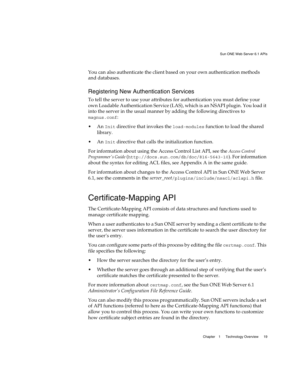You can also authenticate the client based on your own authentication methods and databases.

#### <span id="page-18-3"></span><span id="page-18-0"></span>Registering New Authentication Services

<span id="page-18-9"></span>To tell the server to use your attributes for authentication you must define your own Loadable Authentication Service (LAS), which is an NSAPI plugin. You load it into the server in the usual manner by adding the following directives to magnus.conf:

- <span id="page-18-10"></span>• An Init directive that invokes the load-modules function to load the shared library.
- <span id="page-18-4"></span>An Init directive that calls the initialization function.

<span id="page-18-5"></span>For information about using the Access Control List API, see the *Access Control Programmer's Guide* (http://docs.sun.com/db/doc/816-5643-10). For information about the syntax for editing ACL files, see Appendix A in the same guide.

<span id="page-18-2"></span>For information about changes to the Access Control API in Sun ONE Web Server 6.1, see the comments in the *server\_root*/plugins/include/nsacl/aclapi.h file.

## <span id="page-18-7"></span><span id="page-18-6"></span><span id="page-18-1"></span>Certificate-Mapping API

The Certificate-Mapping API consists of data structures and functions used to manage certificate mapping.

When a user authenticates to a Sun ONE server by sending a client certificate to the server, the server uses information in the certificate to search the user directory for the user's entry.

You can configure some parts of this process by editing the file certmap.conf. This file specifies the following:

- How the server searches the directory for the user's entry.
- <span id="page-18-8"></span>Whether the server goes through an additional step of verifying that the user's certificate matches the certificate presented to the server.

For more information about certmap.conf, see the Sun ONE Web Server 6.1 *Administrator's Configuration File Reference Guide*.

You can also modify this process programmatically. Sun ONE servers include a set of API functions (referred to here as the Certificate-Mapping API functions) that allow you to control this process. You can write your own functions to customize how certificate subject entries are found in the directory.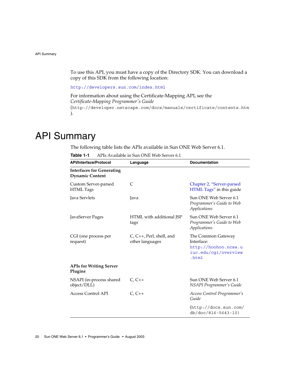To use this API, you must have a copy of the Directory SDK. You can download a copy of this SDK from the following location:

<http://developers.sun.com/index.html>

<span id="page-19-4"></span>For information about using the Certificate-Mapping API, see the *Certificate-Mapping Programmer's Guide* (<http://developer.netscape.com/docs/manuals/certificate/contents.htm> ).

## <span id="page-19-2"></span><span id="page-19-0"></span>API Summary

<span id="page-19-5"></span><span id="page-19-3"></span>The following table lists the APIs available in Sun ONE Web Server 6.1.

<span id="page-19-1"></span>

| <b>API/Interface/Protocol</b>                              | Language                                    | <b>Documentation</b>                                                                      |
|------------------------------------------------------------|---------------------------------------------|-------------------------------------------------------------------------------------------|
| <b>Interfaces for Generating</b><br><b>Dynamic Content</b> |                                             |                                                                                           |
| Custom Server-parsed<br><b>HTML Tags</b>                   | C                                           | Chapter 2, "Server-parsed<br>HTML Tags" in this guide                                     |
| Java Servlets                                              | Java                                        | Sun ONE Web Server 6.1<br>Programmer's Guide to Web<br>Applications                       |
| JavaServer Pages                                           | HTML with additional JSP<br>tags            | Sun ONE Web Server 6.1<br>Programmer's Guide to Web<br>Applications                       |
| CGI (one process per<br>request)                           | C, C++, Perl, shell, and<br>other languages | The Common Gateway<br>Interface:<br>http://hoohoo.ncsa.u<br>iuc.edu/cgi/overview<br>.html |
| <b>APIs for Writing Server</b><br>Plugins                  |                                             |                                                                                           |
| NSAPI (in-process shared<br>object/DLL)                    | $C, C++$                                    | Sun ONE Web Server 6.1<br>NSAPI Programmer's Guide                                        |
| <b>Access Control API</b>                                  | $C, C++$                                    | Access Control Programmer's<br>Guide                                                      |
|                                                            |                                             | (http://docs.sum.com/<br>$db/doc/816-5643-10)$                                            |

**Table 1-1** APIs Available in Sun ONE Web Server 6.1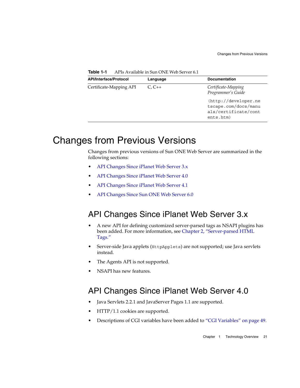| <b>API/Interface/Protocol</b> | Language | <b>Documentation</b>                                                              |
|-------------------------------|----------|-----------------------------------------------------------------------------------|
| Certificate-Mapping API       | $C, C++$ | Certificate-Mapping<br>Programmer's Guide                                         |
|                               |          | (http://developer.ne<br>tscape.com/docs/manu<br>als/certificate/cont<br>ents.htm) |

**Table 1-1** APIs Available in Sun ONE Web Server 6.1

## <span id="page-20-0"></span>Changes from Previous Versions

Changes from previous versions of Sun ONE Web Server are summarized in the following sections:

- [API Changes Since iPlanet Web Server 3.x](#page-20-1)
- [API Changes Since iPlanet Web Server 4.0](#page-20-2)
- [API Changes Since iPlanet Web Server 4.1](#page-21-0)
- <span id="page-20-4"></span>• [API Changes Since Sun ONE Web Server 6.0](#page-21-1)

#### <span id="page-20-1"></span>API Changes Since iPlanet Web Server 3.x

- A new API for defining customized server-parsed tags as NSAPI plugins has been added. For more information, see [Chapter 2, "Server-parsed HTML](#page-22-3)  [Tags."](#page-22-3)
- <span id="page-20-5"></span>• Server-side Java applets (HttpApplets) are not supported; use Java servlets instead.
- <span id="page-20-3"></span>The Agents API is not supported.
- NSAPI has new features.

#### <span id="page-20-2"></span>API Changes Since iPlanet Web Server 4.0

- Java Servlets 2.2.1 and JavaServer Pages 1.1 are supported.
- HTTP/1.1 cookies are supported.
- Descriptions of CGI variables have been added to ["CGI Variables" on page 49.](#page-48-1)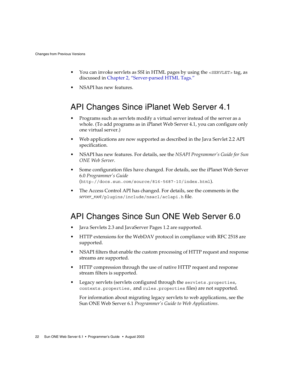- You can invoke servlets as SSI in HTML pages by using the <SERVLET> tag, as discussed in [Chapter 2, "Server-parsed HTML Tags."](#page-22-3)
- NSAPI has new features.

## <span id="page-21-0"></span>API Changes Since iPlanet Web Server 4.1

- Programs such as servlets modify a virtual server instead of the server as a whole. (To add programs as in iPlanet Web Server 4.1, you can configure only one virtual server.)
- Web applications are now supported as described in the Java Servlet 2.2 API specification.
- NSAPI has new features. For details, see the *NSAPI Programmer's Guide for Sun ONE Web Server*.
- Some configuration files have changed. For details, see the iPlanet Web Server 6.0 *Programmer's Guide* (http://docs.sun.com/source/816-5687-10/index.html).
- The Access Control API has changed. For details, see the comments in the *server\_root*/plugins/include/nsacl/aclapi.h file.

### <span id="page-21-1"></span>API Changes Since Sun ONE Web Server 6.0

- Java Servlets 2.3 and JavaServer Pages 1.2 are supported.
- <span id="page-21-6"></span>• HTTP extensions for the WebDAV protocol in compliance with RFC 2518 are supported.
- <span id="page-21-4"></span>• NSAPI filters that enable the custom processing of HTTP request and response streams are supported.
- <span id="page-21-2"></span>• HTTP compression through the use of native HTTP request and response stream filters is supported.
- <span id="page-21-5"></span><span id="page-21-3"></span>• Legacy servlets (servlets configured through the servlets.properties, contexts.properties, and rules.properties files) are not supported.

For information about migrating legacy servlets to web applications, see the Sun ONE Web Server 6.1 *Programmer's Guide to Web Applications*.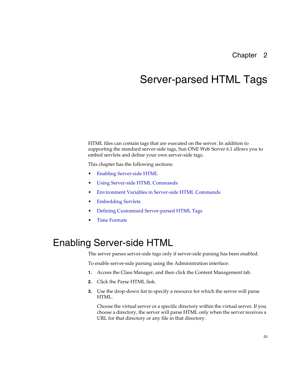# <span id="page-22-5"></span><span id="page-22-3"></span><span id="page-22-0"></span>Server-parsed HTML Tags

<span id="page-22-1"></span>HTML files can contain tags that are executed on the server. In addition to supporting the standard server-side tags, Sun ONE Web Server 6.1 allows you to embed servlets and define your own server-side tags.

This chapter has the following sections:

- [Enabling Server-side HTML](#page-22-2)
- [Using Server-side HTML Commands](#page-24-0)
- [Environment Variables in Server-side HTML Commands](#page-27-1)
- [Embedding Servlets](#page-28-0)
- [Defining Customized Server-parsed HTML Tags](#page-29-0)
- [Time Formats](#page-36-0)

## <span id="page-22-4"></span><span id="page-22-2"></span>Enabling Server-side HTML

The server parses server-side tags only if server-side parsing has been enabled.

To enable server-side parsing using the Administration interface:

- **1.** Access the Class Manager, and then click the Content Management tab.
- **2.** Click the Parse HTML link.
- **3.** Use the drop-down list to specify a resource for which the server will parse HTML.

Choose the virtual server or a specific directory within the virtual server. If you choose a directory, the server will parse HTML only when the server receives a URL for that directory or any file in that directory.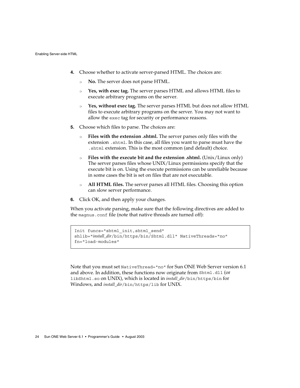- **4.** Choose whether to activate server-parsed HTML. The choices are:
	- ❍ **No.** The server does not parse HTML.
	- ❍ **Yes, with exec tag.** The server parses HTML and allows HTML files to execute arbitrary programs on the server.
	- ❍ **Yes, without exec tag.** The server parses HTML but does not allow HTML files to execute arbitrary programs on the server. You may not want to allow the exec tag for security or performance reasons.
- **5.** Choose which files to parse. The choices are:
	- ❍ **Files with the extension .shtml.** The server parses only files with the extension .shtml. In this case, all files you want to parse must have the .shtml extension. This is the most common (and default) choice.
	- ❍ **Files with the execute bit and the extension .shtml.** (Unix/Linux only) The server parses files whose UNIX/Linux permissions specify that the execute bit is on. Using the execute permissions can be unreliable because in some cases the bit is set on files that are not executable.
	- ❍ **All HTML files.** The server parses all HTML files. Choosing this option can slow server performance.
- **6.** Click OK, and then apply your changes.

When you activate parsing, make sure that the following directives are added to the magnus.conf file (note that native threads are turned off):

```
Init funcs="shtml_init,shtml_send" 
shlib="install_dir/bin/https/bin/Shtml.dll" NativeThreads="no" 
fn="load-modules"
```
Note that you must set NativeThread="no" for Sun ONE Web Server version 6.1 and above. In addition, these functions now originate from Shtml.dll (or libShtml.so on UNIX), which is located in *install\_dir*/bin/https/bin for Windows, and *install\_dir*/bin/https/lib for UNIX.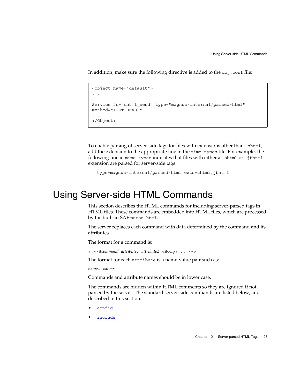In addition, make sure the following directive is added to the  $obj$  conf file:

```
<Object name="default">
...
...
Service fn="shtml_send" type="magnus-internal/parsed-html" 
method="(GET|HEAD)"
...
</Object>
```
To enable parsing of server-side tags for files with extensions other than .shtml, add the extension to the appropriate line in the mime. types file. For example, the following line in mime.types indicates that files with either a .shtml or .jbhtml extension are parsed for server-side tags:

```
type=magnus-internal/parsed-html exts=shtml,jbhtml
```
## <span id="page-24-5"></span><span id="page-24-0"></span>Using Server-side HTML Commands

<span id="page-24-2"></span>This section describes the HTML commands for including server-parsed tags in HTML files. These commands are embedded into HTML files, which are processed by the built-in SAF parse-html.

The server replaces each command with data determined by the command and its attributes.

<span id="page-24-3"></span>The format for a command is:

<!--#*command attribute1 attribute2* <Body>... -->

The format for each attribute is a name-value pair such as:

*name*="*value*"

Commands and attribute names should be in lower case.

The commands are hidden within HTML comments so they are ignored if not parsed by the server. The standard server-side commands are listed below, and described in this section:

- [config](#page-25-0)
- [include](#page-25-1)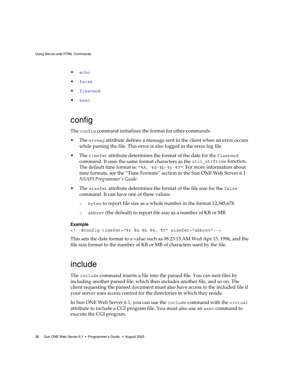- [echo](#page-26-0)
- [fsize](#page-26-1)
- [flastmod](#page-26-2)
- [exec](#page-27-0)

## <span id="page-25-0"></span>config

<span id="page-25-4"></span>The config command initializes the format for other commands.

- <span id="page-25-5"></span>• The errmsg attribute defines a message sent to the client when an error occurs while parsing the file. This error is also logged in the error log file.
- <span id="page-25-10"></span><span id="page-25-8"></span><span id="page-25-6"></span>• The time fmt attribute determines the format of the date for the flastmod command. It uses the same format characters as the util\_strftime function. The default time format is: "%A, %d-%b-%y %T". For more information about time formats, see the "Time Formats" section in the Sun ONE Web Server 6.1 *NSAPI Programmer's Guide*.
- <span id="page-25-9"></span><span id="page-25-3"></span>• The sizefmt attribute determines the format of the file size for the fsize command. It can have one of these values:
	- o bytes to report file size as a whole number in the format 12,345,678.
	- $\circ$  abbrev (the default) to report file size as a number of KB or MB.

#### <span id="page-25-2"></span>**Example**

<!--#config timefmt="%r %a %b %e, %Y" sizefmt="abbrev"-->

This sets the date format to a value such as 08:23:15 AM Wed Apr 15, 1996, and the file size format to the number of KB or MB of characters used by the file.

#### <span id="page-25-1"></span>include

<span id="page-25-7"></span>The include command inserts a file into the parsed file. You can nest files by including another parsed file, which then includes another file, and so on. The client requesting the parsed document must also have access to the included file if your server uses access control for the directories in which they reside.

In Sun ONE Web Server 6.1, you can use the include command with the virtual attribute to include a CGI program file. You must also use an exec command to execute the CGI program.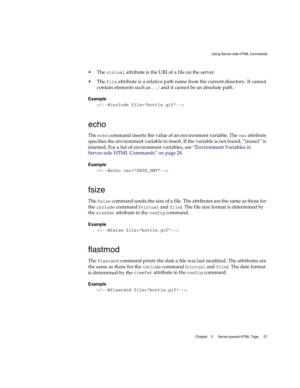- <span id="page-26-7"></span>• The virtual attribute is the URI of a file on the server.
- <span id="page-26-4"></span>• The file attribute is a relative path name from the current directory. It cannot contain elements such as ../ and it cannot be an absolute path.

#### **Example**

```
<!--#include file="bottle.gif"-->
```
#### <span id="page-26-0"></span>echo

<span id="page-26-3"></span>The echo command inserts the value of an environment variable. The var attribute specifies the environment variable to insert. If the variable is not found, "(none)" is inserted. For a list of environment variables, see ["Environment Variables in](#page-27-1)  [Server-side HTML Commands" on page 28](#page-27-1).

#### **Example**

<!--#echo var="DATE\_GMT"-->

#### <span id="page-26-1"></span>fsize

<span id="page-26-6"></span>The fsize command sends the size of a file. The attributes are the same as those for the include command (virtual and file). The file size format is determined by the sizefmt attribute in the config command.

#### **Example**

```
<!--#fsize file="bottle.gif"-->
```
#### <span id="page-26-2"></span>flastmod

<span id="page-26-5"></span>The flastmod command prints the date a file was last modified. The attributes are the same as those for the include command (virtual and file). The date format is determined by the timefmt attribute in the config command.

#### **Example**

```
<!--#flastmod file="bottle.gif"-->
```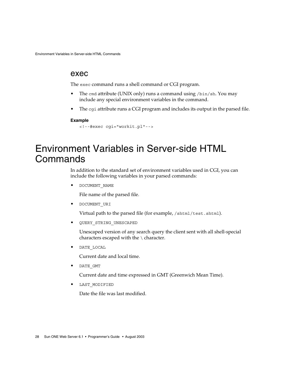#### <span id="page-27-0"></span>exec

<span id="page-27-9"></span>The exec command runs a shell command or CGI program.

- <span id="page-27-3"></span>• The cmd attribute (UNIX only) runs a command using /bin/sh. You may include any special environment variables in the command.
- <span id="page-27-2"></span>• The cgi attribute runs a CGI program and includes its output in the parsed file.

#### **Example**

```
<!--#exec cgi="workit.pl"-->
```
## <span id="page-27-1"></span>Environment Variables in Server-side HTML Commands

In addition to the standard set of environment variables used in CGI, you can include the following variables in your parsed commands:

<span id="page-27-6"></span>• DOCUMENT\_NAME

<span id="page-27-7"></span>File name of the parsed file.

• DOCUMENT\_URI

<span id="page-27-11"></span>Virtual path to the parsed file (for example, /shtml/test.shtml).

• QUERY\_STRING\_UNESCAPED

Unescaped version of any search query the client sent with all shell-special characters escaped with the  $\setminus$  character.

<span id="page-27-5"></span>• DATE\_LOCAL

<span id="page-27-4"></span>Current date and local time.

• DATE\_GMT

<span id="page-27-10"></span>Current date and time expressed in GMT (Greenwich Mean Time).

• LAST\_MODIFIED

Date the file was last modified.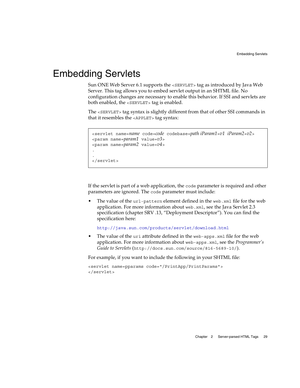# <span id="page-28-0"></span>Embedding Servlets

<span id="page-28-4"></span><span id="page-28-3"></span><span id="page-28-2"></span><span id="page-28-1"></span>Sun ONE Web Server 6.1 supports the <SERVLET> tag as introduced by Java Web Server. This tag allows you to embed servlet output in an SHTML file. No configuration changes are necessary to enable this behavior. If SSI and servlets are both enabled, the <SERVLET> tag is enabled.

The <SERVLET> tag syntax is slightly different from that of other SSI commands in that it resembles the <APPLET> tag syntax:

```
<servlet name=name code=code codebase=path iParam1=v1 iParam2=v2>
<param name=param1 value=v3>
<param name=param2 value=v4>
.
.
</servlet>
```
If the servlet is part of a web application, the code parameter is required and other parameters are ignored. The code parameter must include:

• The value of the url-pattern element defined in the web.xml file for the web application. For more information about web.xml, see the Java Servlet 2.3 specification (chapter SRV .13, "Deployment Descriptor"). You can find the specification here:

<http://java.sun.com/products/servlet/download.html>

• The value of the uri attribute defined in the web-apps. xml file for the web application. For more information about web-apps.xml, see the *Programmer's Guide to Servlets* (<http://docs.sun.com/source/816-5689-10/>).

For example, if you want to include the following in your SHTML file:

```
<servlet name=pparams code="/PrintApp/PrintParams">
</servlet>
```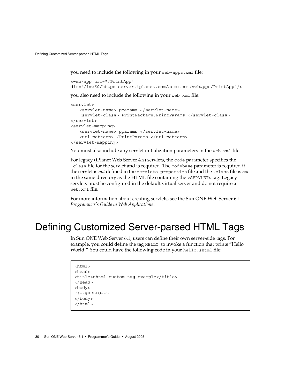you need to include the following in your web-apps.xml file:

```
<web-app uri="/PrintApp" 
dir="/iws60/https-server.iplanet.com/acme.com/webapps/PrintApp"/>
```
you also need to include the following in your web.xml file:

```
<servlet>
   <servlet-name> pparams </servlet-name>
   <servlet-class> PrintPackage.PrintParams </servlet-class>
</servlet>
<servlet-mapping>
   <servlet-name> pparams </servlet-name>
   <url-pattern> /PrintParams </url-pattern>
</servlet-mapping>
```
You must also include any servlet initialization parameters in the web. xml file.

For legacy (iPlanet Web Server 4.*x*) servlets, the code parameter specifies the .class file for the servlet and is required. The codebase parameter is required if the servlet is *not* defined in the servlets.properties file and the .class file is *not* in the same directory as the HTML file containing the <SERVLET> tag. Legacy servlets must be configured in the default virtual server and do not require a web.xml file.

<span id="page-29-4"></span><span id="page-29-2"></span><span id="page-29-1"></span>For more information about creating servlets, see the Sun ONE Web Server 6.1 *Programmer's Guide to Web Applications*.

## <span id="page-29-3"></span><span id="page-29-0"></span>Defining Customized Server-parsed HTML Tags

In Sun ONE Web Server 6.1, users can define their own server-side tags. For example, you could define the tag HELLO to invoke a function that prints "Hello World!" You could have the following code in your hello.shtml file:

```
<html>
<head>
<title>shtml custom tag example</title>
</head>
<body>
<!--#HELLO-->
</body>
</html>
```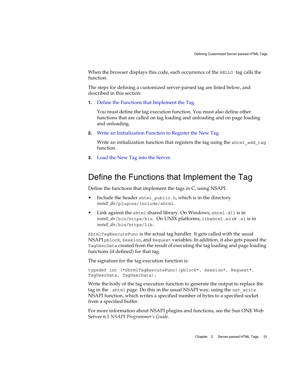When the browser displays this code, each occurrence of the HELLO tag calls the function.

The steps for defining a customized server-parsed tag are listed below, and described in this section:

**1.** [Define the Functions that Implement the Tag](#page-30-0).

<span id="page-30-6"></span>You must define the tag execution function. You must also define other functions that are called on tag loading and unloading and on page loading and unloading.

**2.** [Write an Initialization Function to Register the New Tag](#page-35-0).

<span id="page-30-4"></span>Write an initialization function that registers the tag using the shtml\_add\_tag function.

**3.** [Load the New Tag into the Server](#page-35-1).

### <span id="page-30-0"></span>Define the Functions that Implement the Tag

Define the functions that implement the tags in C, using NSAPI.

- <span id="page-30-1"></span>• Include the header shtml  $public.h$ , which is in the directory *install\_dir*/plugins/include/shtml.
- <span id="page-30-3"></span>• Link against the shtml shared library. On Windows, shtml.dll is in *install\_dir*/bin/https/bin. On UNIX platforms, libshtml.so or .sl is in *install\_dir*/bin/https/lib.

<span id="page-30-7"></span><span id="page-30-5"></span>ShtmlTagExecuteFunc is the actual tag handler. It gets called with the usual NSAPI pblock, Session, and Request variables. In addition, it also gets passed the TagUserData created from the result of executing the tag loading and page loading functions (if defined) for that tag.

The signature for the tag execution function is:

```
typedef int (*ShtmlTagExecuteFunc)(pblock*, Session*, Request*, 
TagUserData, TagUserData);
```
<span id="page-30-2"></span>Write the body of the tag execution function to generate the output to replace the tag in the .shtml page. Do this in the usual NSAPI way, using the net\_write NSAPI function, which writes a specified number of bytes to a specified socket from a specified buffer.

For more information about NSAPI plugins and functions, see the Sun ONE Web Server 6.1 *NSAPI Programmer's Guide*.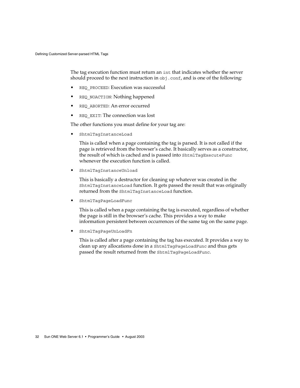The tag execution function must return an int that indicates whether the server should proceed to the next instruction in obj.conf, and is one of the following:

- <span id="page-31-3"></span>REQ PROCEED: Execution was successful
- <span id="page-31-2"></span>REQ\_NOACTION: Nothing happened
- <span id="page-31-0"></span>REQ ABORTED: An error occurred
- <span id="page-31-1"></span>REQ EXIT: The connection was lost

The other functions you must define for your tag are:

<span id="page-31-4"></span>• ShtmlTagInstanceLoad

This is called when a page containing the tag is parsed. It is not called if the page is retrieved from the browser's cache. It basically serves as a constructor, the result of which is cached and is passed into ShtmlTagExecuteFunc whenever the execution function is called.

<span id="page-31-5"></span>• ShtmlTagInstanceUnload

This is basically a destructor for cleaning up whatever was created in the ShtmlTagInstanceLoad function. It gets passed the result that was originally returned from the ShtmlTagInstanceLoad function.

<span id="page-31-6"></span>• ShtmlTagPageLoadFunc

This is called when a page containing the tag is executed, regardless of whether the page is still in the browser's cache. This provides a way to make information persistent between occurrences of the same tag on the same page.

<span id="page-31-7"></span>• ShtmlTagPageUnLoadFn

This is called after a page containing the tag has executed. It provides a way to clean up any allocations done in a ShtmlTagPageLoadFunc and thus gets passed the result returned from the ShtmlTagPageLoadFunc.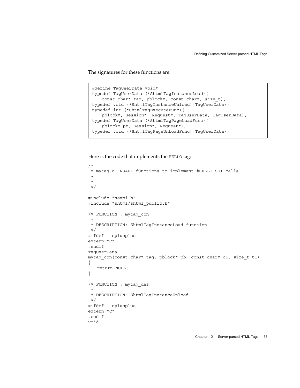The signatures for these functions are:

```
#define TagUserData void*
typedef TagUserData (*ShtmlTagInstanceLoad)(
   const char* tag, pblock*, const char*, size_t);
typedef void (*ShtmlTagInstanceUnload)(TagUserData);
typedef int (*ShtmlTagExecuteFunc)(
   pblock*, Session*, Request*, TagUserData, TagUserData);
typedef TagUserData (*ShtmlTagPageLoadFunc)(
   pblock* pb, Session*, Request*);
typedef void (*ShtmlTagPageUnLoadFunc)(TagUserData);
```
Here is the code that implements the HELLO tag:

```
/*
 * mytag.c: NSAPI functions to implement #HELLO SSI calls
 *
 *
 */
#include "nsapi.h"
#include "shtml/shtml_public.h"
/* FUNCTION : mytag_con
 *
 * DESCRIPTION: ShtmlTagInstanceLoad function
 */
#ifdef cplusplus
extern "C"
#endif
TagUserData
mytag con(const char* tag, pblock* pb, const char* c1, size t t1)
{
   return NULL;
}
/* FUNCTION : mytag des
 *
 * DESCRIPTION: ShtmlTagInstanceUnload
*/
#ifdef __cplusplus
extern "C"
#endif
void
```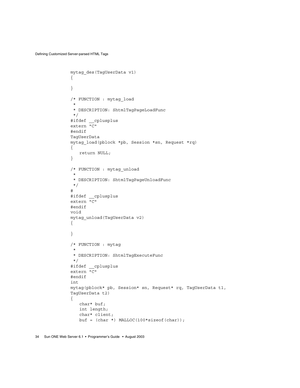```
mytag_des(TagUserData v1)
{
}
/* FUNCTION : mytag_load
 *
 * DESCRIPTION: ShtmlTagPageLoadFunc
*/
#ifdef cplusplus
extern "C"
#endif
TagUserData
mytag_load(pblock *pb, Session *sn, Request *rq)
{
   return NULL;
}
/* FUNCTION : mytag_unload
 *
 * DESCRIPTION: ShtmlTagPageUnloadFunc
 */
#
#ifdef __cplusplus
extern "C"
#endif
void
mytag_unload(TagUserData v2)
{
}
/* FUNCTION : mytag
 *
 * DESCRIPTION: ShtmlTagExecuteFunc
 */
#ifdef __cplusplus
extern "C"
#endif
int
mytag(pblock* pb, Session* sn, Request* rq, TagUserData t1, 
TagUserData t2)
{
   char* buf;
   int length;
   char* client;
   buf = (char *) MALLOC(100*sizeof(char));
```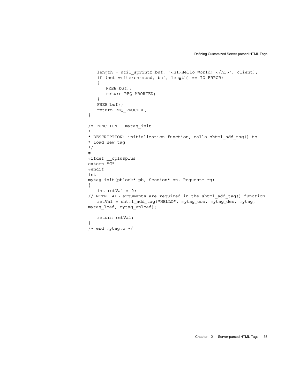```
length = util_sprintf(buf, "<h1>Hello World! </h1>", client);
   if (net_write(sn->csd, buf, length) == IO_ERROR)
   {
      FREE(buf);
      return REQ_ABORTED;
   }
   FREE(buf);
   return REQ_PROCEED;
}
/* FUNCTION : mytag_init
*
* DESCRIPTION: initialization function, calls shtml_add_tag() to 
* load new tag
*/
#
#ifdef __cplusplus
extern "C"
#endif
int
mytag_init(pblock* pb, Session* sn, Request* rq)
{
   int retVal = 0;// NOTE: ALL arguments are required in the shtml_add_tag() function
   retVal = shtml_add_tag("HELLO", mytag_con, mytag_des, mytag, 
mytag_load, mytag_unload);
   return retVal;
}
/* end mytag.c */
```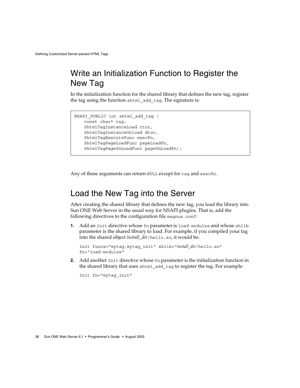## <span id="page-35-2"></span><span id="page-35-0"></span>Write an Initialization Function to Register the New Tag

In the initialization function for the shared library that defines the new tag, register the tag using the function shtml\_add\_tag. The signature is:

```
NSAPI_PUBLIC int shtml_add_tag (
   const char* tag, 
   ShtmlTagInstanceLoad ctor,
   ShtmlTagInstanceUnload dtor,
   ShtmlTagExecuteFunc execFn,
   ShtmlTagPageLoadFunc pageLoadFn,
   ShtmlTagPageUnLoadFunc pageUnLoadFn);
```
<span id="page-35-3"></span>Any of these arguments can return NULL except for tag and execFn.

## <span id="page-35-1"></span>Load the New Tag into the Server

After creating the shared library that defines the new tag, you load the library into Sun ONE Web Server in the usual way for NSAPI plugins. That is, add the following directives to the configuration file magnus.conf:

**1.** Add an Init directive whose fn parameter is load-modules and whose shlib parameter is the shared library to load. For example, if you compiled your tag into the shared object *install\_dir*/hello.so, it would be:

```
Init funcs="mytag,mytag_init" shlib="install_dir/hello.so" 
fn="load-modules"
```
**2.** Add another Init directive whose fn parameter is the initialization function in the shared library that uses shtml\_add\_tag to register the tag. For example:

```
Init fn="mytag_init"
```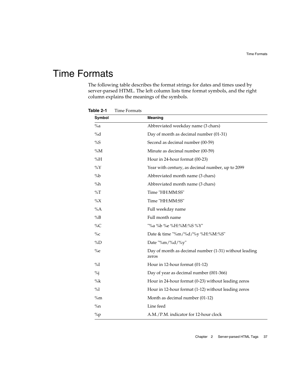# <span id="page-36-3"></span><span id="page-36-0"></span>Time Formats

The following table describes the format strings for dates and times used by server-parsed HTML. The left column lists time format symbols, and the right column explains the meanings of the symbols.

<span id="page-36-4"></span><span id="page-36-2"></span><span id="page-36-1"></span>

| <b>Meaning</b>                                                 |
|----------------------------------------------------------------|
| Abbreviated weekday name (3 chars)                             |
| Day of month as decimal number (01-31)                         |
| Second as decimal number (00-59)                               |
| Minute as decimal number (00-59)                               |
| Hour in 24-hour format (00-23)                                 |
| Year with century, as decimal number, up to 2099               |
| Abbreviated month name (3 chars)                               |
| Abbreviated month name (3 chars)                               |
| Time "HH:MM:SS"                                                |
| Time "HH:MM:SS"                                                |
| Full weekday name                                              |
| Full month name                                                |
| "%a %b %e %H:%M:%S %Y"                                         |
| Date & time "%m/%d/%y %H:%M:%S"                                |
| Date "%m/%d/%y"                                                |
| Day of month as decimal number (1-31) without leading<br>zeros |
| Hour in 12-hour format (01-12)                                 |
| Day of year as decimal number (001-366)                        |
| Hour in 24-hour format (0-23) without leading zeros            |
| Hour in 12-hour format (1-12) without leading zeros            |
| Month as decimal number (01-12)                                |
| Line feed                                                      |
| A.M./P.M. indicator for 12-hour clock                          |
|                                                                |

**Table 2-1** Time Formats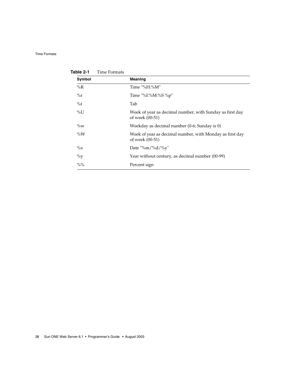| <b>Meaning</b>                                                              |  |  |
|-----------------------------------------------------------------------------|--|--|
| Time "%H:%M"                                                                |  |  |
| Time "%I:%M:%S %p"                                                          |  |  |
| Tab                                                                         |  |  |
| Week of year as decimal number, with Sunday as first day<br>of week (00-51) |  |  |
| Weekday as decimal number (0-6; Sunday is 0)                                |  |  |
| Week of year as decimal number, with Monday as first day<br>of week (00-51) |  |  |
| Date "%m/%d/%y"                                                             |  |  |
| Year without century, as decimal number (00-99)                             |  |  |
| Percent sign                                                                |  |  |
|                                                                             |  |  |

**Table 2-1** Time Formats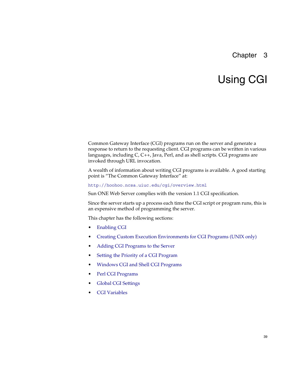# <span id="page-38-4"></span><span id="page-38-2"></span>Using CGI

<span id="page-38-1"></span><span id="page-38-0"></span>Common Gateway Interface (CGI) programs run on the server and generate a response to return to the requesting client. CGI programs can be written in various languages, including C, C++, Java, Perl, and as shell scripts. CGI programs are invoked through URL invocation.

<span id="page-38-3"></span>A wealth of information about writing CGI programs is available. A good starting point is "The Common Gateway Interface" at:

<http://hoohoo.ncsa.uiuc.edu/cgi/overview.html>

Sun ONE Web Server complies with the version 1.1 CGI specification.

Since the server starts up a process each time the CGI script or program runs, this is an expensive method of programming the server.

This chapter has the following sections:

- [Enabling CGI](#page-39-0)
- [Creating Custom Execution Environments for CGI Programs \(UNIX only\)](#page-40-1)
- [Adding CGI Programs to the Server](#page-46-0)
- [Setting the Priority of a CGI Program](#page-46-1)
- [Windows CGI and Shell CGI Programs](#page-47-0)
- [Perl CGI Programs](#page-47-1)
- [Global CGI Settings](#page-47-2)
- [CGI Variables](#page-48-0)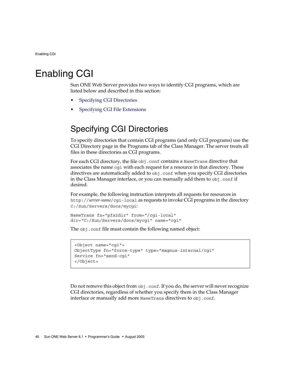# <span id="page-39-0"></span>Enabling CGI

<span id="page-39-2"></span>Sun ONE Web Server provides two ways to identify CGI programs, which are listed below and described in this section:

- [Specifying CGI Directories](#page-39-1)
- <span id="page-39-3"></span>• [Specifying CGI File Extensions](#page-40-0)

## <span id="page-39-1"></span>Specifying CGI Directories

To specify directories that contain CGI programs (and only CGI programs) use the CGI Directory page in the Programs tab of the Class Manager. The server treats all files in these directories as CGI programs.

<span id="page-39-4"></span>For each CGI directory, the file obj.conf contains a NameTrans directive that associates the name cgi with each request for a resource in that directory. These directives are automatically added to obj.conf when you specify CGI directories in the Class Manager interface, or you can manually add them to obj.conf if desired.

For example, the following instruction interprets all requests for resources in http://*server-name*/cgi-local as requests to invoke CGI programs in the directory C:/Sun/Servers/docs/mycgi:

```
NameTrans fn="pfx2dir" from="/cgi-local" 
dir="C:/Sun/Servers/docs/mycgi" name="cgi"
```
The obj.conf file must contain the following named object:

```
<Object name="cgi">
ObjectType fn="force-type" type="magnus-internal/cgi"
Service fn="send-cgi"
</Object>
```
Do not remove this object from  $\phi$  *conf.* If you do, the server will never recognize CGI directories, regardless of whether you specify them in the Class Manager interface or manually add more NameTrans directives to obj.conf.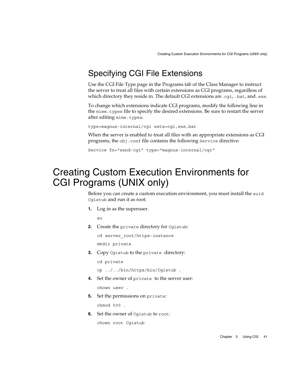#### <span id="page-40-2"></span><span id="page-40-0"></span>Specifying CGI File Extensions

Use the CGI File Type page in the Programs tab of the Class Manager to instruct the server to treat all files with certain extensions as CGI programs, regardless of which directory they reside in. The default CGI extensions are .cgi, .bat, and .exe.

<span id="page-40-4"></span>To change which extensions indicate CGI programs, modify the following line in the mime.types file to specify the desired extensions. Be sure to restart the server after editing mime.types.

type=magnus-internal/cgi exts=cgi,exe,bat

<span id="page-40-5"></span>When the server is enabled to treat all files with an appropriate extensions as CGI programs, the obj.conf file contains the following Service directive:

```
Service fn="send-cgi" type="magnus-internal/cgi"
```
## <span id="page-40-1"></span>Creating Custom Execution Environments for CGI Programs (UNIX only)

<span id="page-40-3"></span>Before you can create a custom execution environment, you must install the suid Cgistub and run it as root:

**1.** Log in as the superuser.

su

**2.** Create the private directory for Cgistub:

cd *server\_root*/https-*instance* mkdir private

**3.** Copy Cgistub to the private directory:

cd private

cp ../../bin/https/bin/Cgistub .

**4.** Set the owner of private to the server user:

chown *user* .

**5.** Set the permissions on private:

chmod 500 .

**6.** Set the owner of Cqistub to root:

chown root Cgistub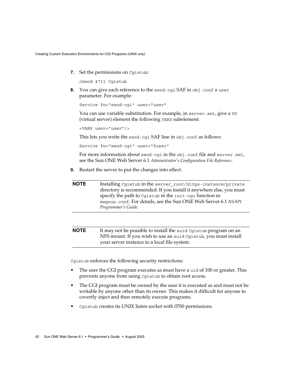**7.** Set the permissions on Cgistub:

chmod 4711 Cgistub

**8.** You can give each reference to the send-cgi SAF in obj.conf a user parameter. For example:

Service fn="send-cgi" user="*user*"

You can use variable substitution. For example, in server.xml, give a VS (virtual server) element the following VARS subelement:

<VARS user="*user*"/>

This lets you write the send-cgi SAF line in obj.conf as follows:

Service fn="send-cgi" user="\$user"

For more information about send-cgi in the  $obj$  conf file and server. $xml$ , see the Sun ONE Web Server 6.1 *Administrator's Configuration File Reference*.

**9.** Restart the server to put the changes into effect.

| <b>NOTE</b> | Installing Cgistub in the server root/https-instance/private        |
|-------------|---------------------------------------------------------------------|
|             | directory is recommended. If you install it anywhere else, you must |
|             | specify the path to Cgistub in the init-cgi function in             |
|             | magnus.conf. For details, see the Sun ONE Web Server 6.1 NSAPI      |
|             | Programmer's Guide.                                                 |

**NOTE** It may not be possible to install the suid Cgistub program on an NFS mount. If you wish to use an suid Cgistub, you must install your server instance to a local file system.

Cgistub enforces the following security restrictions:

- The user the CGI program executes as must have a uid of 100 or greater. This prevents anyone from using Cgistub to obtain root access.
- The CGI program must be owned by the user it is executed as and must not be writable by anyone other than its owner. This makes it difficult for anyone to covertly inject and then remotely execute programs.
- Cgistub creates its UNIX listen socket with 0700 permissions.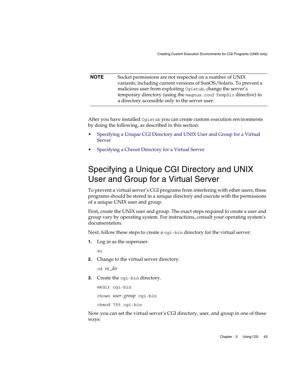**NOTE** Socket permissions are not respected on a number of UNIX variants, including current versions of SunOS/Solaris. To prevent a malicious user from exploiting Cgistub, change the server's temporary directory (using the magnus.conf TempDir directive) to a directory accessible only to the server user.

After you have installed Cgistub you can create custom execution environments by doing the following, as described in this section:

- [Specifying a Unique CGI Directory and UNIX User and Group for a Virtual](#page-42-0)  [Server](#page-42-0)
- [Specifying a Chroot Directory for a Virtual Server](#page-43-0)

## <span id="page-42-0"></span>Specifying a Unique CGI Directory and UNIX User and Group for a Virtual Server

To prevent a virtual server's CGI programs from interfering with other users, these programs should be stored in a unique directory and execute with the permissions of a unique UNIX user and group.

First, create the UNIX user and group. The exact steps required to create a user and group vary by operating system. For instructions, consult your operating system's documentation.

Next, follow these steps to create a cgi-bin directory for the virtual server:

**1.** Log in as the superuser.

su

**2.** Change to the virtual server directory.

cd *vs\_dir*

**3.** Create the cgi-bin directory.

```
mkdir cgi-bin
chown user:group cgi-bin
chmod 755 cgi-bin
```
Now you can set the virtual server's CGI directory, user, and group in one of these ways: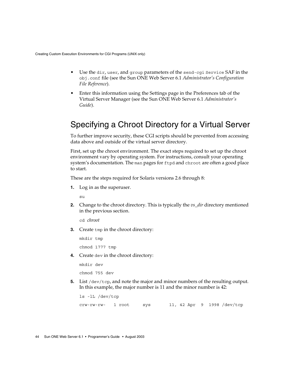- Use the dir, user, and group parameters of the send-cgi Service SAF in the obj.conf file (see the Sun ONE Web Server 6.1 *Administrator's Configuration File Reference*).
- Enter this information using the Settings page in the Preferences tab of the Virtual Server Manager (see the Sun ONE Web Server 6.1 *Administrator's Guide*).

#### <span id="page-43-0"></span>Specifying a Chroot Directory for a Virtual Server

To further improve security, these CGI scripts should be prevented from accessing data above and outside of the virtual server directory.

First, set up the chroot environment. The exact steps required to set up the chroot environment vary by operating system. For instructions, consult your operating system's documentation. The man pages for ftpd and chroot are often a good place to start.

These are the steps required for Solaris versions 2.6 through 8:

**1.** Log in as the superuser.

su

**2.** Change to the chroot directory. This is typically the *vs\_dir* directory mentioned in the previous section.

cd *chroot*

**3.** Create tmp in the chroot directory:

mkdir tmp

chmod 1777 tmp

**4.** Create dev in the chroot directory:

mkdir dev

chmod 755 dev

**5.** List /dev/tcp, and note the major and minor numbers of the resulting output. In this example, the major number is 11 and the minor number is 42:

ls -lL /dev/tcp crw-rw-rw- 1 root sys 11, 42 Apr 9 1998 /dev/tcp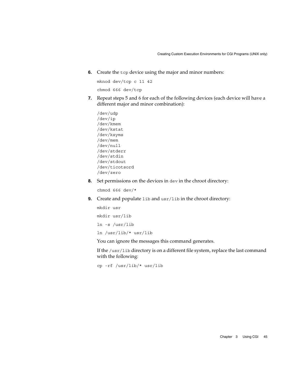**6.** Create the tcp device using the major and minor numbers:

```
mknod dev/tcp c 11 42
chmod 666 dev/tcp
```
**7.** Repeat steps 5 and 6 for each of the following devices (each device will have a different major and minor combination):

```
/dev/udp 
/dev/ip 
/dev/kmem 
/dev/kstat 
/dev/ksyms 
/dev/mem 
/dev/null 
/dev/stderr 
/dev/stdin 
/dev/stdout 
/dev/ticotsord 
/dev/zero
```
**8.** Set permissions on the devices in dev in the chroot directory:

chmod 666 dev/\*

**9.** Create and populate lib and usr/lib in the chroot directory:

```
mkdir usr 
mkdir usr/lib 
ln -s /usr/lib 
ln /usr/lib/* usr/lib
```
You can ignore the messages this command generates.

If the /usr/lib directory is on a different file system, replace the last command with the following:

```
cp -rf /usr/lib/* usr/lib
```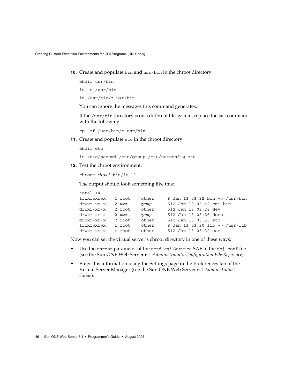**10.** Create and populate bin and usr/bin in the chroot directory:

mkdir usr/bin

ln -s /usr/bin

ln /usr/bin/\* usr/bin

You can ignore the messages this command generates.

If the /usr/bin directory is on a different file system, replace the last command with the following:

```
cp -rf /usr/bin/* usr/bin
```
**11.** Create and populate etc in the chroot directory:

mkdir etc ln /etc/passwd /etc/group /etc/netconfig etc

**12.** Test the chroot environment:

chroot *chroot* bin/ls -l

The output should look something like this:

```
total 14 
lrwxrwxrwx 1 root other 8 Jan 13 03:32 bin -> /usr/bin 
drwxr-xr-x 2 user group 512 Jan 13 03:42 cgi-bin 
drwxr-xr-x 2 root other 512 Jan 13 03:28 dev 
drwxr-xr-x 2 user group 512 Jan 13 03:26 docs 
drwxr-xr-x 2 root other 512 Jan 13 03:33 etc 
lrwxrwxrwx 1 root other 8 Jan 13 03:30 lib -> /usr/lib 
drwxr-xr-x 4 root other 512 Jan 13 03:32 usr
```
Now you can set the virtual server's chroot directory in one of these ways:

- Use the chroot parameter of the send-cqi Service SAF in the obj.conf file (see the Sun ONE Web Server 6.1 *Administrator's Configuration File Reference*).
- Enter this information using the Settings page in the Preferences tab of the Virtual Server Manager (see the Sun ONE Web Server 6.1 *Administrator's Guide*).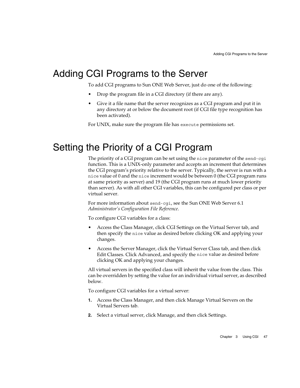## <span id="page-46-0"></span>Adding CGI Programs to the Server

<span id="page-46-2"></span>To add CGI programs to Sun ONE Web Server, just do one of the following:

- Drop the program file in a CGI directory (if there are any).
- Give it a file name that the server recognizes as a CGI program and put it in any directory at or below the document root (if CGI file type recognition has been activated).

<span id="page-46-3"></span>For UNIX, make sure the program file has execute permissions set.

# <span id="page-46-1"></span>Setting the Priority of a CGI Program

<span id="page-46-6"></span><span id="page-46-5"></span>The priority of a CGI program can be set using the nice parameter of the send-cgi function. This is a UNIX-only parameter and accepts an increment that determines the CGI program's priority relative to the server. Typically, the server is run with a nice value of 0 and the nice increment would be between 0 (the CGI program runs at same priority as server) and 19 (the CGI program runs at much lower priority than server). As with all other CGI variables, this can be configured per class or per virtual server.

<span id="page-46-4"></span>For more information about send-cgi, see the Sun ONE Web Server 6.1 *Administrator's Configuration File Reference*.

To configure CGI variables for a class:

- Access the Class Manager, click CGI Settings on the Virtual Server tab, and then specify the nice value as desired before clicking OK and applying your changes.
- Access the Server Manager, click the Virtual Server Class tab, and then click Edit Classes. Click Advanced, and specify the nice value as desired before clicking OK and applying your changes.

All virtual servers in the specified class will inherit the value from the class. This can be overridden by setting the value for an individual virtual server, as described below.

<span id="page-46-7"></span>To configure CGI variables for a virtual server:

- **1.** Access the Class Manager, and then click Manage Virtual Servers on the Virtual Servers tab.
- **2.** Select a virtual server, click Manage, and then click Settings.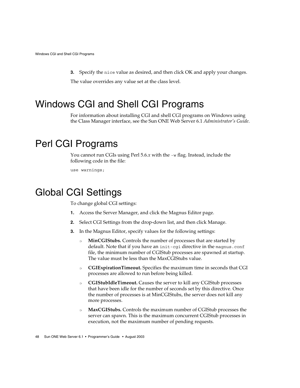**3.** Specify the nice value as desired, and then click OK and apply your changes.

The value overrides any value set at the class level.

## <span id="page-47-0"></span>Windows CGI and Shell CGI Programs

<span id="page-47-6"></span>For information about installing CGI and shell CGI programs on Windows using the Class Manager interface, see the Sun ONE Web Server 6.1 *Administrator's Guide*.

## <span id="page-47-1"></span>Perl CGI Programs

You cannot run CGIs using Perl 5.6.*x* with the -w flag. Instead, include the following code in the file:

<span id="page-47-3"></span>use warnings;

## <span id="page-47-2"></span>Global CGI Settings

To change global CGI settings:

- **1.** Access the Server Manager, and click the Magnus Editor page.
- **2.** Select CGI Settings from the drop-down list, and then click Manage.
- <span id="page-47-8"></span><span id="page-47-7"></span><span id="page-47-5"></span><span id="page-47-4"></span>**3.** In the Magnus Editor, specify values for the following settings:
	- ❍ **MinCGIStubs.** Controls the number of processes that are started by default. Note that if you have an init-cgi directive in the magnus.conf file, the minimum number of CGIStub processes are spawned at startup. The value must be less than the MaxCGIStubs value.
	- ❍ **CGIExpirationTimeout.** Specifies the maximum time in seconds that CGI processes are allowed to run before being killed.
	- ❍ **CGIStubIdleTimeout.** Causes the server to kill any CGIStub processes that have been idle for the number of seconds set by this directive. Once the number of processes is at MinCGIStubs, the server does not kill any more processes.
	- ❍ **MaxCGIStubs.** Controls the maximum number of CGIStub processes the server can spawn. This is the maximum concurrent CGIStub processes in execution, not the maximum number of pending requests.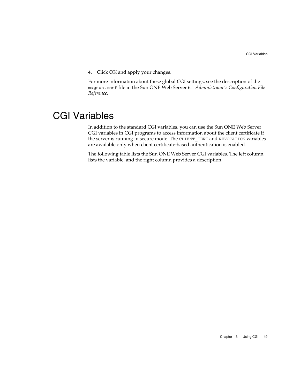**4.** Click OK and apply your changes.

For more information about these global CGI settings, see the description of the magnus.conf file in the Sun ONE Web Server 6.1 *Administrator's Configuration File Reference*.

# <span id="page-48-1"></span><span id="page-48-0"></span>CGI Variables

<span id="page-48-5"></span><span id="page-48-4"></span><span id="page-48-3"></span><span id="page-48-2"></span>In addition to the standard CGI variables, you can use the Sun ONE Web Server CGI variables in CGI programs to access information about the client certificate if the server is running in secure mode. The CLIENT\_CERT and REVOCATION variables are available only when client certificate-based authentication is enabled.

The following table lists the Sun ONE Web Server CGI variables. The left column lists the variable, and the right column provides a description.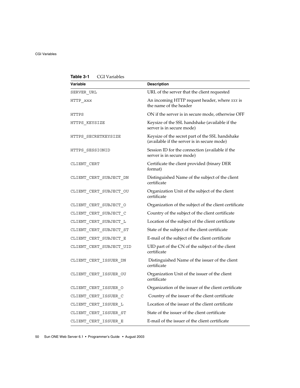<span id="page-49-0"></span>

| Variable                | <b>Description</b>                                                                             |
|-------------------------|------------------------------------------------------------------------------------------------|
| SERVER URL              | URL of the server that the client requested                                                    |
| HTTP xxx                | An incoming HTTP request header, where xxx is<br>the name of the header                        |
| <b>HTTPS</b>            | ON if the server is in secure mode, otherwise OFF                                              |
| HTTPS KEYSIZE           | Keysize of the SSL handshake (available if the<br>server is in secure mode)                    |
| HTTPS SECRETKEYSIZE     | Keysize of the secret part of the SSL handshake<br>(available if the server is in secure mode) |
| HTTPS SESSIONID         | Session ID for the connection (available if the<br>server is in secure mode)                   |
| CLIENT CERT             | Certificate the client provided (binary DER<br>format)                                         |
| CLIENT CERT SUBJECT DN  | Distinguished Name of the subject of the client<br>certificate                                 |
| CLIENT CERT SUBJECT OU  | Organization Unit of the subject of the client<br>certificate                                  |
| CLIENT_CERT_SUBJECT_O   | Organization of the subject of the client certificate                                          |
| CLIENT_CERT_SUBJECT_C   | Country of the subject of the client certificate                                               |
| CLIENT CERT SUBJECT L   | Location of the subject of the client certificate                                              |
| CLIENT CERT SUBJECT ST  | State of the subject of the client certificate                                                 |
| CLIENT_CERT_SUBJECT_E   | E-mail of the subject of the client certificate                                                |
| CLIENT CERT SUBJECT UID | UID part of the CN of the subject of the client<br>certificate                                 |
| CLIENT CERT ISSUER DN   | Distinguished Name of the issuer of the client<br>certificate                                  |
| CLIENT_CERT_ISSUER_OU   | Organization Unit of the issuer of the client<br>certificate                                   |
| CLIENT CERT ISSUER O    | Organization of the issuer of the client certificate                                           |
| CLIENT CERT ISSUER C    | Country of the issuer of the client certificate                                                |
| CLIENT_CERT_ISSUER_L    | Location of the issuer of the client certificate                                               |
| CLIENT CERT ISSUER ST   | State of the issuer of the client certificate                                                  |
| CLIENT CERT ISSUER E    | E-mail of the issuer of the client certificate                                                 |

**Table 3-1** CGI Variables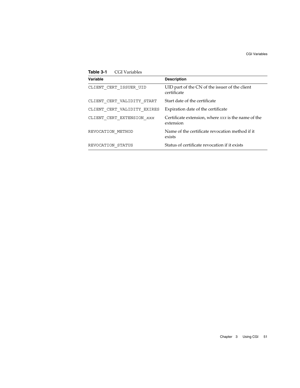| .<br>$\epsilon$             |                                                                  |  |  |
|-----------------------------|------------------------------------------------------------------|--|--|
| Variable                    | <b>Description</b>                                               |  |  |
| CLIENT CERT ISSUER UID      | UID part of the CN of the issuer of the client<br>certificate    |  |  |
| CLIENT CERT VALIDITY START  | Start date of the certificate                                    |  |  |
| CLIENT CERT VALIDITY EXIRES | Expiration date of the certificate                               |  |  |
| CLIENT CERT EXTENSION XXX   | Certificate extension, where xxx is the name of the<br>extension |  |  |
| REVOCATION METHOD           | Name of the certificate revocation method if it<br>exists        |  |  |
| REVOCATION STATUS           | Status of certificate revocation if it exists                    |  |  |

**Table 3-1** CGI Variables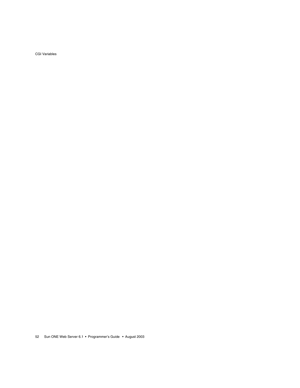CGI Variables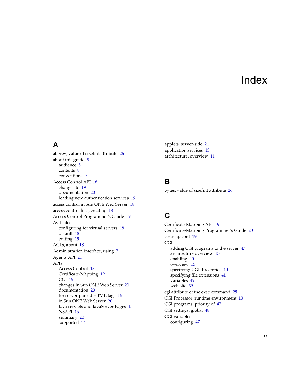# Index

#### <span id="page-52-0"></span>**A**

abbrev, value of sizefmt attribute [26](#page-25-2) about this guide [5](#page-4-2) audience [5](#page-4-3) contents [8](#page-7-1) conventions [9](#page-8-1) Access Control API [18](#page-17-1) changes to [19](#page-18-2) documentation [20](#page-19-1) loading new authentication services [19](#page-18-3) access control in Sun ONE Web Server [18](#page-17-2) access control lists, creating [18](#page-17-3) Access Control Programmer's Guide [19](#page-18-4) ACL files configuring for virtual servers [18](#page-17-4) default [18](#page-17-5) editing [19](#page-18-5) ACLs, about [18](#page-17-6) Administration interface, using [7](#page-6-0) Agents API [21](#page-20-3) APIs Access Control [18](#page-17-1) Certificate-Mapping [19](#page-18-6) CGI [15](#page-14-3) changes in Sun ONE Web Server [21](#page-20-4) documentation [20](#page-19-2) for server-parsed HTML tags [15](#page-14-4) in Sun ONE Web Server [20](#page-19-2) Java servlets and JavaServer Pages [15](#page-14-5) NSAPI [16](#page-15-1) summary [20](#page-19-3) supported [14](#page-13-2)

applets, server-side [21](#page-20-5) application services [13](#page-12-2) architecture, overview [11](#page-10-4)

#### **B**

bytes, value of sizefmt attribute [26](#page-25-3)

#### **C**

Certificate-Mapping API [19](#page-18-7) Certificate-Mapping Programmer's Guide [20](#page-19-4) certmap.conf [19](#page-18-8) CGI adding CGI programs to the server [47](#page-46-2) architecture overview [13](#page-12-3) enabling [40](#page-39-2) overview [15](#page-14-3) specifying CGI directories [40](#page-39-3) specifying file extensions [41](#page-40-2) variables [49](#page-48-2) web site [39](#page-38-3) cgi attribute of the exec command [28](#page-27-2) CGI Processor, runtime environment [13](#page-12-4) CGI programs, priority of [47](#page-46-3) CGI settings, global [48](#page-47-3) CGI variables configuring [47](#page-46-4)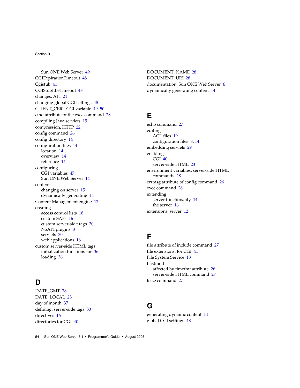Sun ONE Web Server [49](#page-48-3) CGIExpirationTimeout [48](#page-47-4) Cgistub [41](#page-40-3) CGIStubIdleTimeout [48](#page-47-5) changes, API [21](#page-20-4) changing global CGI settings [48](#page-47-3) CLIENT\_CERT CGI variable [49,](#page-48-4) [50](#page-49-0) cmd attribute of the exec command [28](#page-27-3) compiling Java servlets [15](#page-14-6) compression, HTTP [22](#page-21-2) config command [26](#page-25-4) config directory [14](#page-13-3) configuration files [14](#page-13-4) location [14](#page-13-5) overview [14](#page-13-6) reference [14](#page-13-7) configuring CGI variables [47](#page-46-4) Sun ONE Web Server [14](#page-13-8) content changing on server [15](#page-14-7) dynamically generating [14](#page-13-9) Content Management engine [12](#page-11-2) creating access control lists [18](#page-17-7) custom SAFs [16](#page-15-2) custom server-side tags [30](#page-29-1) NSAPI plugins [8](#page-7-2) servlets [30](#page-29-2) web applications [16](#page-15-3) custom server-side HTML tags initialization functions for [36](#page-35-2) loading [36](#page-35-3)

#### **D**

DATE\_GMT [28](#page-27-4) DATE\_LOCAL [28](#page-27-5) day of month [37](#page-36-1) defining, server-side tags [30](#page-29-1) directives [16](#page-15-4) directories for CGI [40](#page-39-3)

DOCUMENT\_NAME [28](#page-27-6) DOCUMENT\_URI [28](#page-27-7) documentation, Sun ONE Web Server [6](#page-5-1) dynamically generating content [14](#page-13-9)

#### **E**

echo command [27](#page-26-3) editing ACL files [19](#page-18-5) configuration files [8](#page-7-3), [14](#page-13-8) embedding servlets [29](#page-28-1) enabling CGI [40](#page-39-2) server-side HTML [23](#page-22-4) environment variables, server-side HTML commands [28](#page-27-8) errmsg attribute of config command [26](#page-25-5) exec command [28](#page-27-9) extending server functionality [14](#page-13-10) the server [16](#page-15-5) extensions, server [12](#page-11-3)

#### **F**

file attribute of include command [27](#page-26-4) file extensions, for CGI [41](#page-40-2) File System Service [13](#page-12-5) flastmod affected by timefmt attribute [26](#page-25-6) server-side HTML command [27](#page-26-5) fsize command [27](#page-26-6)

#### **G**

generating dynamic content [14](#page-13-9) global CGI settings [48](#page-47-3)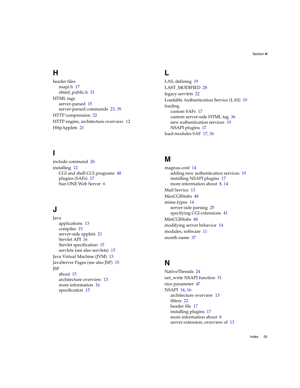#### **H**

header files nsapi.h [17](#page-16-1) shtml\_public.h [31](#page-30-1) HTML tags server-parsed [15](#page-14-4) server-parsed commands [23](#page-22-5), [39](#page-38-4) HTTP compression [22](#page-21-2) HTTP engine, architecture overview [12](#page-11-4) HttpApplets [21](#page-20-5)

### **I**

include command [26](#page-25-7) installing [12](#page-11-5) CGI and shell CGI programs [48](#page-47-6) plugins (SAFs) [17](#page-16-2) Sun ONE Web Server [6](#page-5-2)

#### **J**

Java applications [13](#page-12-6) compiler [15](#page-14-8) server-side applets [21](#page-20-5) Servlet API [16](#page-15-6) Servlet specification [15](#page-14-9) servlets (see also servlets) [15](#page-14-10) Java Virtual Machine (JVM) [13](#page-12-7) JavaServer Pages (see also JSP) [15](#page-14-11) JSP about [15](#page-14-10) architecture overview [13](#page-12-6) more information [16](#page-15-7) specification [15](#page-14-12)

#### **L**

LAS, defining [19](#page-18-9) LAST\_MODIFIED [28](#page-27-10) legacy servlets [22](#page-21-3) Loadable Authentication Service (LAS) [19](#page-18-9) loading custom SAFs [17](#page-16-3) custom server-side HTML tag [36](#page-35-3) new authentication services [19](#page-18-3) NSAPI plugins [17](#page-16-2) load-modules SAF [17](#page-16-4), [36](#page-35-4)

#### **M**

magnus.conf [14](#page-13-11) adding new authentication services [19](#page-18-10) installing NSAPI plugins [17](#page-16-5) more information about [8](#page-7-4), [14](#page-13-12) Mail Service [13](#page-12-8) MaxCGIStubs [48](#page-47-7) mime.types [14](#page-13-13) server-side parsing [25](#page-24-1) specifying CGI extensions [41](#page-40-4) MinCGIStubs [48](#page-47-8) modifying server behavior [14](#page-13-10) modules, software [11](#page-10-5) month name [37](#page-36-2)

#### **N**

NativeThreads [24](#page-23-0) net\_write NSAPI function [31](#page-30-2) nice parameter [47](#page-46-5) NSAPI [14](#page-13-10), [16](#page-15-1) architecture overview [13](#page-12-9) filters [22](#page-21-4) header file [17](#page-16-1) installing plugins [17](#page-16-2) more information about [8](#page-7-2) server extension, overview of [13](#page-12-9)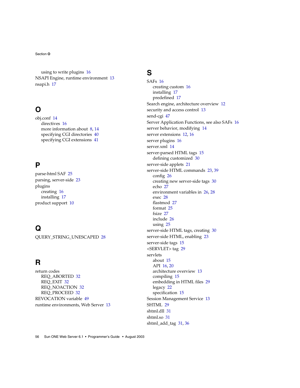using to write plugins [16](#page-15-8) NSAPI Engine, runtime environment [13](#page-12-10) nsapi.h [17](#page-16-1)

## **O**

obj.conf [14](#page-13-14) directives [16](#page-15-9) more information about [8](#page-7-4), [14](#page-13-15) specifying CGI directories [40](#page-39-4) specifying CGI extensions [41](#page-40-5)

#### **P**

parse-html SAF [25](#page-24-2) parsing, server-side [23](#page-22-4) plugins creating [16](#page-15-10) installing [17](#page-16-2) product support [10](#page-9-1)

#### **Q**

QUERY\_STRING\_UNESCAPED [28](#page-27-11)

#### **R**

return codes REQ\_ABORTED [32](#page-31-0) REQ\_EXIT [32](#page-31-1) REQ\_NOACTION [32](#page-31-2) REQ\_PROCEED [32](#page-31-3) REVOCATION variable [49](#page-48-5) runtime environments, Web Server [13](#page-12-11)

#### **S**

SAFs [16](#page-15-11) creating custom [16](#page-15-2) installing [17](#page-16-2) predefined [17](#page-16-6) Search engine, architecture overview [12](#page-11-6) security and access control [13](#page-12-12) send-cgi [47](#page-46-6) Server Application Functions, see also SAFs [16](#page-15-11) server behavior, modifying [14](#page-13-10) server extensions [12](#page-11-7), [16](#page-15-5) server plugins [16](#page-15-10) server.xml [14](#page-13-16) server-parsed HTML tags [15](#page-14-4) defining customized [30](#page-29-3) server-side applets [21](#page-20-5) server-side HTML commands [23,](#page-22-5) [39](#page-38-4) config [26](#page-25-4) creating new server-side tags [30](#page-29-4) echo [27](#page-26-3) environment variables in [26](#page-25-8), [28](#page-27-8) exec [28](#page-27-9) flastmod [27](#page-26-5) format [25](#page-24-3) fsize [27](#page-26-6) include [26](#page-25-7) using [25](#page-24-4) server-side HTML tags, creating [30](#page-29-1) server-side HTML, enabling [23](#page-22-4) server-side tags [15](#page-14-4) <SERVLET> tag [29](#page-28-2) servlets about [15](#page-14-13) API [16,](#page-15-12) [20](#page-19-5) architecture overview [13](#page-12-6) compiling [15](#page-14-6) embedding in HTML files [29](#page-28-2) legacy [22](#page-21-5) specification [15](#page-14-9) Session Management Service [13](#page-12-13) SHTML [29](#page-28-3) shtml.dll [31](#page-30-3) shtml.so [31](#page-30-3) shtml\_add\_tag [31,](#page-30-4) [36](#page-35-5)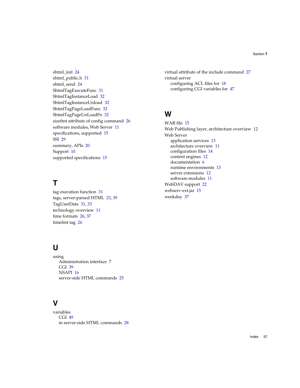shtml\_init [24](#page-23-1) shtml\_public.h [31](#page-30-1) shtml\_send [24](#page-23-2) ShtmlTagExecuteFunc [31](#page-30-5) ShtmlTagInstanceLoad [32](#page-31-4) ShtmlTagInstanceUnload [32](#page-31-5) ShtmlTagPageLoadFunc [32](#page-31-6) ShtmlTagPageUnLoadFn [32](#page-31-7) sizefmt attribute of config command [26](#page-25-9) software modules, Web Server [11](#page-10-5) specifications, supported [15](#page-14-14) SSI [29](#page-28-4) summary, APIs [20](#page-19-3) Support [10](#page-9-2) supported specifications [15](#page-14-14)

### **T**

tag execution function [31](#page-30-6) tags, server-parsed HTML [23](#page-22-5), [39](#page-38-4) TagUserData [31,](#page-30-7) [33](#page-32-0) technology overview [11](#page-10-6) time formats [26](#page-25-8), [37](#page-36-3) timefmt tag [26](#page-25-10)

#### **U**

using Administration interface [7](#page-6-0) CGI [39](#page-38-2) NSAPI [16](#page-15-5) server-side HTML commands [25](#page-24-5)

#### **V**

variables CGI [49](#page-48-2) in server-side HTML commands [28](#page-27-8) virtual attribute of the include command [27](#page-26-7) virtual server configuring ACL files for [18](#page-17-8) configuring CGI variables for [47](#page-46-7)

#### **W**

WAR file [15](#page-14-15) Web Publishing layer, architecture overview [12](#page-11-8) Web Server application services [13](#page-12-2) architecture overview [11](#page-10-4) configuration files [14](#page-13-6) content engines [12](#page-11-9) documentation [6](#page-5-3) runtime environments [13](#page-12-11) server extensions [12](#page-11-7) software modules [11](#page-10-5) WebDAV support [22](#page-21-6) webserv-ext.jar [15](#page-14-16) weekday [37](#page-36-4)